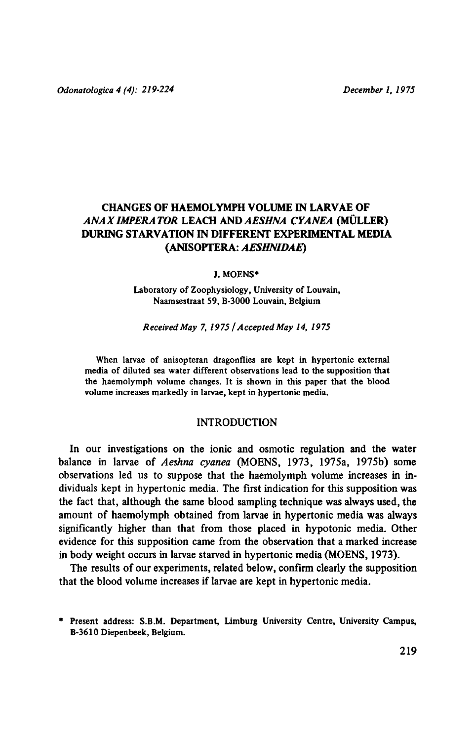# CHANGES OF HAEMOLYMPH VOLUME IN LARVAE OF ANAX IMPERATOR LEACH AND AESHNA CYANEA (MÜLLER) DURING STARVATION IN DIFFERENT EXPERIMENTAL MEDIA (Anisoptera: Aeshnidae)

#### J. Moens\*

#### Laboratory of Zoophysiology, University of Louvain, Naamsestraat 59, B-3000 Louvain, Belgium

### Received May 7, <sup>1975</sup> / Accepted May 14, <sup>1975</sup>

When larvae of anisopteran dragonflies are kept in hypertonic external media of diluted sea water different observations lead to the supposition that the haemolymph volume changes. It is shown in this paper that the blood volume increases markedly in larvae, kept in hypertonic media.

## INTRODUCTION

In our investigations on the ionic and osmotic regulation and the water balance in larvae of Aeshna cyanea (MOENS, 1973, 1975a, 1975b) some observations led us to suppose that the haemolymph volume increases in individuals kept in hypertonic media. The first indication for this supposition was the fact that, although the same blood sampling technique was always used, the amount of haemolymph obtained from larvae in hypertonic media was always significantly higher than that from those placed in hypotonic media. Other evidence for this supposition came from the observation that <sup>a</sup> marked increase in body weight occurs in larvae starved in hypertonic media (MOENS, 1973).

The results of our experiments, related below, confirm clearly the supposition that the blood volume increases iflarvae are kept in hypertonic media.

<sup>\*</sup> Present address: S.B.M. Department, Limburg University Centre, University Campus, B-3610 Diepenbeek, Belgium.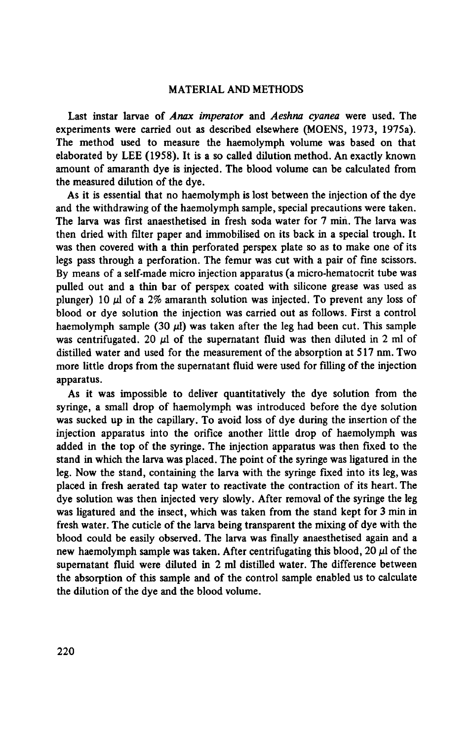# MATERIAL AND METHODS

Last instar larvae of Anax imperator and Aeshna cyanea were used. The experiments were carried out as described elsewhere (MOENS, 1973, 1975a). The method used to measure the haemolymph volume was based on that elaborated by LEE  $(1958)$ . It is a so called dilution method. An exactly known amount of amaranth dye is injected. The blood volume can be calculated from the measured dilution of the dye.

As it is essential that no haemolymph is lost between the injection of the dye and the withdrawing of the haemolymph sample, special precautions were taken. The larva was first anaesthetised in fresh soda water for 7 min. The larva was then dried with filter paper and immobilised on its back in a special trough. It was then covered with <sup>a</sup> thin perforated perspex plate so as to make one of its legs pass through <sup>a</sup> perforation. The femur was cut with <sup>a</sup> pair of fine scissors. By means of <sup>a</sup> self-made micro injection apparatus (a micro-hematocrit tube was pulled out and <sup>a</sup> thin bar of perspex coated with silicone grease was used as plunger) 10  $\mu$ l of a 2% amaranth solution was injected. To prevent any loss of blood or dye solution the injection was carried out as follows. First <sup>a</sup> control haemolymph sample (30  $\mu$ I) was taken after the leg had been cut. This sample was centrifugated. 20  $\mu$ l of the supernatant fluid was then diluted in 2 ml of distilled water and used for the measurement of the absorption at <sup>517</sup> nm.Two more little drops from the supernatant fluid were used for filling of the injection apparatus.

As it was impossible to deliver quantitatively the dye solution from the syringe, <sup>a</sup> small drop of haemolymph was introduced before the dye solution was sucked up in the capillary. To avoid loss of dye during the insertion of the injection apparatus into the orifice another little drop of haemolymph was added in the top of the syringe. The injection apparatus was then fixed to the stand in which the larva was placed. The point of the syringe was ligatured in the leg. Now the stand, containing the larva with the syringe fixed into its leg, was placed in fresh aerated tap water to reactivate the contraction of its heart.The dye solution was then injected very slowly. After removal of the syringe the leg was ligatured and the insect, which was taken from the stand kept for <sup>3</sup> min in fresh water. The cuticle of the larva being transparent the mixing of dye with the blood could be easily observed. The larva was finally anaesthetised again and <sup>a</sup> new haemolymph sample was taken. After centrifugating this blood, 20  $\mu$ l of the supernatant fluid were diluted in 2 ml distilled water. The difference between the absorption of this sample and of the control sample enabled us to calculate the dilution of the dye and the blood volume.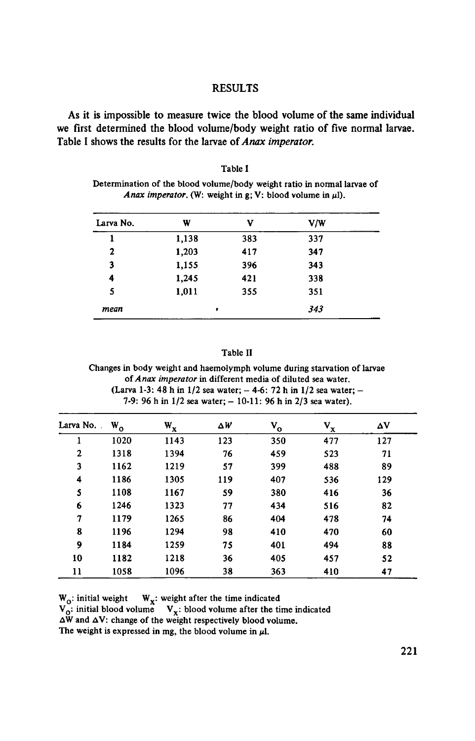## RESULTS

As it is impossible to measure twice the blood volume of the same individual we first determined the blood volume/body weight ratio of five normal larvae. Table I shows the results for the larvae of Anax imperator.

| Table I                                                                 |
|-------------------------------------------------------------------------|
| Determination of the blood volume/body weight ratio in normal larvae of |
| <i>Anax imperator.</i> (W: weight in g; V: blood volume in $\mu$ l).    |

| Larva No.    | W     | v   | V/W |  |
|--------------|-------|-----|-----|--|
| 1            | 1,138 | 383 | 337 |  |
| $\mathbf{2}$ | 1,203 | 417 | 347 |  |
| 3            | 1,155 | 396 | 343 |  |
| 4            | 1,245 | 421 | 338 |  |
| 5            | 1,011 | 355 | 351 |  |
| mean         | ٠     |     | 343 |  |

### Table II

Changes in body weight and haemolymph volume during starvation of larvae of Anax imperator in different media of diluted sea water. (Larva 1-3: 48 h in 1/2 seawater; — 4-6: <sup>72</sup> <sup>h</sup> in 1/2 sea water; — 7-9: 96 h in  $1/2$  sea water;  $-10-11$ : 96 h in  $2/3$  sea water).

| Larva No.    | $W_{o}$ | $\mathbf{w}_{\mathbf{x}}$ | ΔW  | $V_{o}$ | $\mathbf{v}_{\mathbf{x}}$ | ΔV  |
|--------------|---------|---------------------------|-----|---------|---------------------------|-----|
| ı            | 1020    | 1143                      | 123 | 350     | 477                       | 127 |
| $\mathbf{2}$ | 1318    | 1394                      | 76  | 459     | 523                       | 71  |
| 3            | 1162    | 1219                      | 57  | 399     | 488                       | 89  |
| 4            | 1186    | 1305                      | 119 | 407     | 536                       | 129 |
| 5            | 1108    | 1167                      | 59  | 380     | 416                       | 36  |
| 6            | 1246    | 1323                      | 77  | 434     | 516                       | 82  |
| 7            | 1179    | 1265                      | 86  | 404     | 478                       | 74  |
| 8            | 1196    | 1294                      | 98  | 410     | 470                       | 60  |
| 9            | 1184    | 1259                      | 75  | 401     | 494                       | 88  |
| 10           | 1182    | 1218                      | 36  | 405     | 457                       | 52  |
| 11           | 1058    | 1096                      | 38  | 363     | 410                       | 47  |

 $W_0$ : initial weight  $W_x$ : weight after the time indicated  $V_0$ : initial blood volume  $V_x$ : blood volume after the time indicated

 $\Delta W$  and  $\Delta V$ : change of the weight respectively blood volume.

The weight is expressed in mg, the blood volume in  $\mu$ l.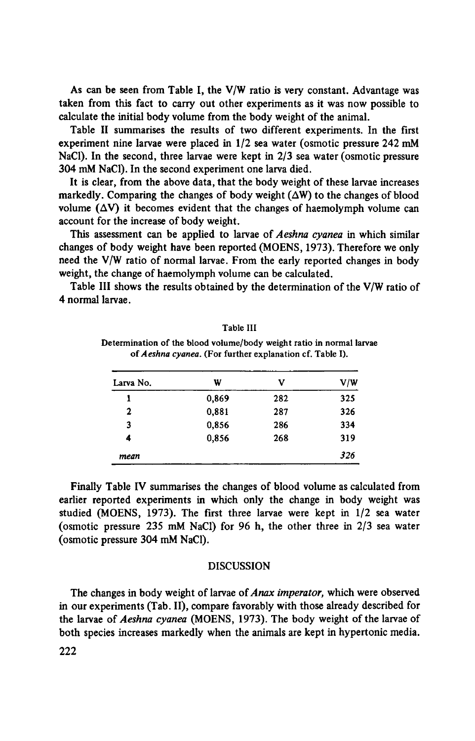As can be seen from Table I, the V/W ratio is very constant. Advantage was taken from this fact to carry out other experiments as it was now possible to calculate the initial body volume from the body weight of the animal.

Table II summarises the results of two different experiments. In the first experiment nine larvae were placed in 1/2 sea water (osmotic pressure 242 mM NaCl). In the second, three larvae were kept in 2/3 sea water (osmotic pressure 304 mM NaCl). In the second experiment one larva died.

It is clear, from the above data, that the body weight of these larvae increases markedly. Comparing the changes of body weight  $(\Delta W)$  to the changes of blood volume  $(\Delta V)$  it becomes evident that the changes of haemolymph volume can account for the increase of body weight.

This assessment can be applied to larvae of Aeshna cyanea in which similar changes of body weight have been reported (MOENS, 1973). Therefore we only need the V/W ratio of normal larvae. From the early reported changes in body weight, the change of haemolymph volume can be calculated.

Table III shows the results obtained by the determination of the V/W ratio of 4 normal larvae.

| Larva No. | W     | v   | V/W |
|-----------|-------|-----|-----|
|           | 0,869 | 282 | 325 |
| 2         | 0,881 | 287 | 326 |
| 3         | 0,856 | 286 | 334 |
| 4         | 0,856 | 268 | 319 |
| mean      |       |     | 326 |

Table III Determination of the blood volume/body weight ratio in normal larvae of Aeshna cyanea. (For further explanation cf. Table I).

Finally Table IV summarises the changes of blood volume as calculated from earlier reported experiments in which only the change in body weight was studied (MOENS, 1973). The first three larvae were kept in 1/2 sea water (osmotic pressure 235 mM NaCl) for 96 h, the other three in 2/3 sea water (osmotic pressure 304 mM NaCl).

#### DISCUSSION

The changes in body weight of larvae of *Anax imperator*, which were observed in our experiments (Tab. II), compare favorably with those already described for the larvae of Aeshna cyanea (MOENS, 1973). The body weight of the larvae of both species increases markedly when the animals are kept in hypertonic media.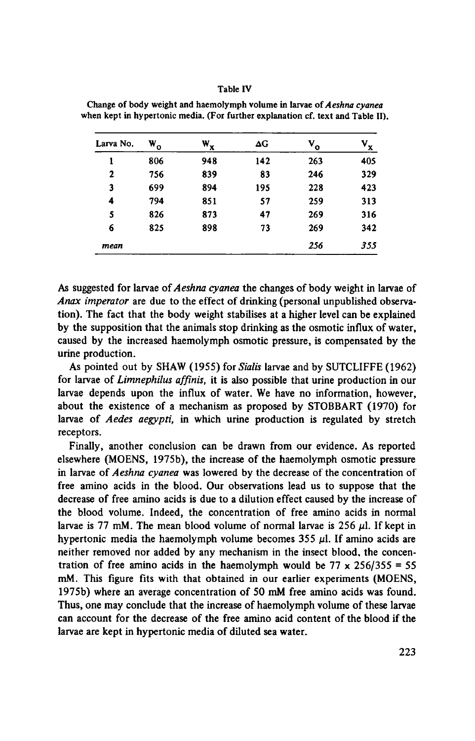### Table IV

| Larva No. | $\mathbf{w}_{\mathbf{o}}$ | $\mathbf{w}_{\mathbf{x}}$ | ΔG  | $V_{o}$ | $V_{x}$ |
|-----------|---------------------------|---------------------------|-----|---------|---------|
| ı         | 806                       | 948                       | 142 | 263     | 405     |
| 2         | 756                       | 839                       | 83  | 246     | 329     |
| 3         | 699                       | 894                       | 195 | 228     | 423     |
| 4         | 794                       | 851                       | 57  | 259     | 313     |
| 5         | 826                       | 873                       | 47  | 269     | 316     |
| 6         | 825                       | 898                       | 73  | 269     | 342     |
| mean      |                           |                           |     | 256     | 355     |

Change of body weight and haemolymph volume in larvae of Aeshna cyanea when kept in hypertonic media. (For further explanation cf. text and Table II).

As suggested for larvae of Aeshna cyanea the changes of body weight in larvae of Anax imperator are due to the effect of drinking (personal unpublished observation). The fact that the body weight stabilises at <sup>a</sup> higher level can be explained by the supposition that the animals stop drinking as the osmotic influx of water, caused by the increased haemolymph osmotic pressure, is compensated by the urine production.

As pointed out by SHAW (1955) for Sialis larvae and by SUTCLIFFE (1962) for larvae of Limnephilus affinis, it is also possible that urine production in our larvae depends upon the influx of water. We have no information, however, about the existence of <sup>a</sup> mechanism as proposed by STOBBART (1970) for larvae of Aedes aegypti, in which urine production is regulated by stretch receptors.

Finally, another conclusion can be drawn from our evidence. As reported elsewhere (MOENS, 1975b), the increase of the haemolymph osmotic pressure in larvae of Aeshna cyanea was lowered by the decrease of the concentration of free amino acids in the blood. Our observations lead us to suppose that the decrease of free amino acids is due to a dilution effect caused by the increase of the blood volume. Indeed, the concentration of free amino acids in normal larvae is 77 mM. The mean blood volume of normal larvae is 256  $\mu$ l. If kept in hypertonic media the haemolymph volume becomes 355  $\mu$ l. If amino acids are neither removed nor added by any mechanism in the insect blood, the concentration of free amino acids in the haemolymph would be  $77 \times 256/355 = 55$ mM. This figure fits with that obtained in our earlier experiments (MOENS, 1975b) where an average concentration of <sup>50</sup> mM free amino acids was found. Thus, one may conclude that the increase of haemolymph volume of these larvae can account for the decrease of the free amino acid content of the blood if the larvae are kept in hypertonic media of diluted sea water.